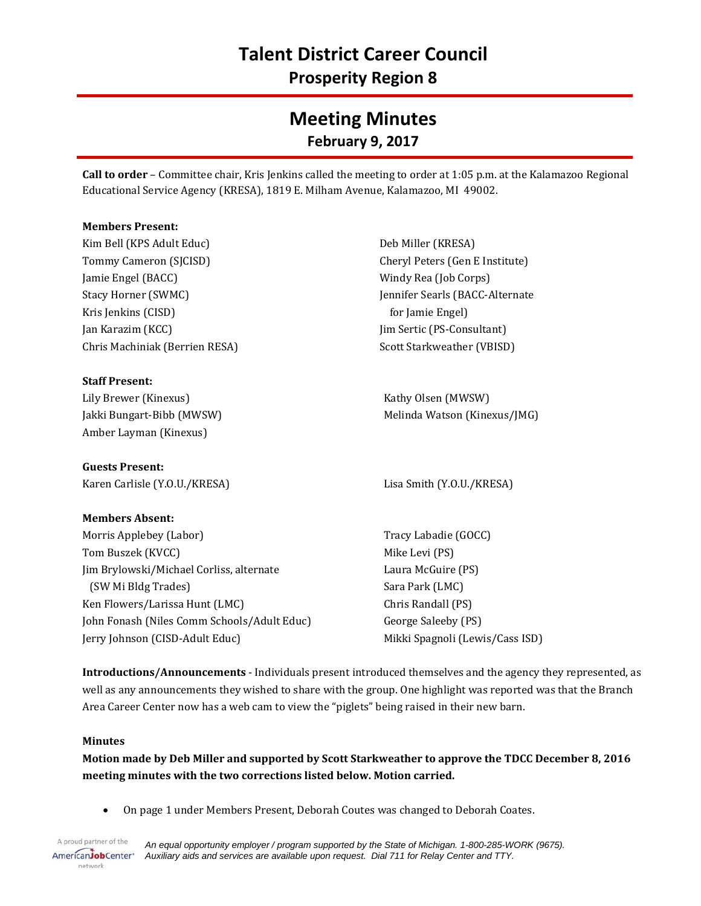# **Meeting Minutes February 9, 2017**

**Call to order** – Committee chair, Kris Jenkins called the meeting to order at 1:05 p.m. at the Kalamazoo Regional Educational Service Agency (KRESA), 1819 E. Milham Avenue, Kalamazoo, MI 49002.

#### **Members Present:**

Kim Bell (KPS Adult Educ) Tommy Cameron (SJCISD) Jamie Engel (BACC) Stacy Horner (SWMC) Kris Jenkins (CISD) Jan Karazim (KCC) Chris Machiniak (Berrien RESA)

## **Staff Present:**

Lily Brewer (Kinexus) Jakki Bungart-Bibb (MWSW) Amber Layman (Kinexus)

## **Guests Present:**

Karen Carlisle (Y.O.U./KRESA) Lisa Smith (Y.O.U./KRESA)

## **Members Absent:**

Morris Applebey (Labor) Tom Buszek (KVCC) Jim Brylowski/Michael Corliss, alternate (SW Mi Bldg Trades) Ken Flowers/Larissa Hunt (LMC) John Fonash (Niles Comm Schools/Adult Educ) Jerry Johnson (CISD-Adult Educ)

Deb Miller (KRESA) Cheryl Peters (Gen E Institute) Windy Rea (Job Corps) Jennifer Searls (BACC-Alternate for Jamie Engel) Jim Sertic (PS-Consultant) Scott Starkweather (VBISD)

Kathy Olsen (MWSW) Melinda Watson (Kinexus/JMG)

Tracy Labadie (GOCC) Mike Levi (PS) Laura McGuire (PS) Sara Park (LMC) Chris Randall (PS) George Saleeby (PS) Mikki Spagnoli (Lewis/Cass ISD)

**Introductions/Announcements** - Individuals present introduced themselves and the agency they represented, as well as any announcements they wished to share with the group. One highlight was reported was that the Branch Area Career Center now has a web cam to view the "piglets" being raised in their new barn.

#### **Minutes**

**Motion made by Deb Miller and supported by Scott Starkweather to approve the TDCC December 8, 2016 meeting minutes with the two corrections listed below. Motion carried.**

• On page 1 under Members Present, Deborah Coutes was changed to Deborah Coates.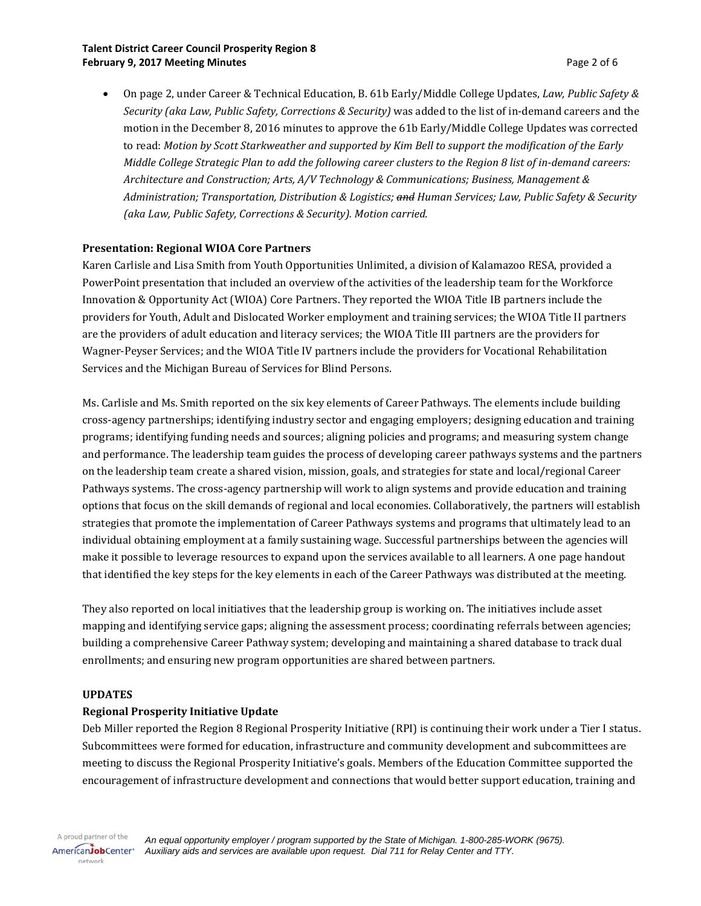#### **Talent District Career Council Prosperity Region 8 February 9, 2017 Meeting Minutes Page 2 of 6 Page 2 of 6**

• On page 2, under Career & Technical Education, B. 61b Early/Middle College Updates, *Law, Public Safety & Security (aka Law, Public Safety, Corrections & Security)* was added to the list of in-demand careers and the motion in the December 8, 2016 minutes to approve the 61b Early/Middle College Updates was corrected to read: *Motion by Scott Starkweather and supported by Kim Bell to support the modification of the Early Middle College Strategic Plan to add the following career clusters to the Region 8 list of in-demand careers: Architecture and Construction; Arts, A/V Technology & Communications; Business, Management & Administration; Transportation, Distribution & Logistics; and Human Services; Law, Public Safety & Security (aka Law, Public Safety, Corrections & Security). Motion carried.*

## **Presentation: Regional WIOA Core Partners**

Karen Carlisle and Lisa Smith from Youth Opportunities Unlimited, a division of Kalamazoo RESA, provided a PowerPoint presentation that included an overview of the activities of the leadership team for the Workforce Innovation & Opportunity Act (WIOA) Core Partners. They reported the WIOA Title IB partners include the providers for Youth, Adult and Dislocated Worker employment and training services; the WIOA Title II partners are the providers of adult education and literacy services; the WIOA Title III partners are the providers for Wagner-Peyser Services; and the WIOA Title IV partners include the providers for Vocational Rehabilitation Services and the Michigan Bureau of Services for Blind Persons.

Ms. Carlisle and Ms. Smith reported on the six key elements of Career Pathways. The elements include building cross-agency partnerships; identifying industry sector and engaging employers; designing education and training programs; identifying funding needs and sources; aligning policies and programs; and measuring system change and performance. The leadership team guides the process of developing career pathways systems and the partners on the leadership team create a shared vision, mission, goals, and strategies for state and local/regional Career Pathways systems. The cross-agency partnership will work to align systems and provide education and training options that focus on the skill demands of regional and local economies. Collaboratively, the partners will establish strategies that promote the implementation of Career Pathways systems and programs that ultimately lead to an individual obtaining employment at a family sustaining wage. Successful partnerships between the agencies will make it possible to leverage resources to expand upon the services available to all learners. A one page handout that identified the key steps for the key elements in each of the Career Pathways was distributed at the meeting.

They also reported on local initiatives that the leadership group is working on. The initiatives include asset mapping and identifying service gaps; aligning the assessment process; coordinating referrals between agencies; building a comprehensive Career Pathway system; developing and maintaining a shared database to track dual enrollments; and ensuring new program opportunities are shared between partners.

## **UPDATES**

## **Regional Prosperity Initiative Update**

Deb Miller reported the Region 8 Regional Prosperity Initiative (RPI) is continuing their work under a Tier I status. Subcommittees were formed for education, infrastructure and community development and subcommittees are meeting to discuss the Regional Prosperity Initiative's goals. Members of the Education Committee supported the encouragement of infrastructure development and connections that would better support education, training and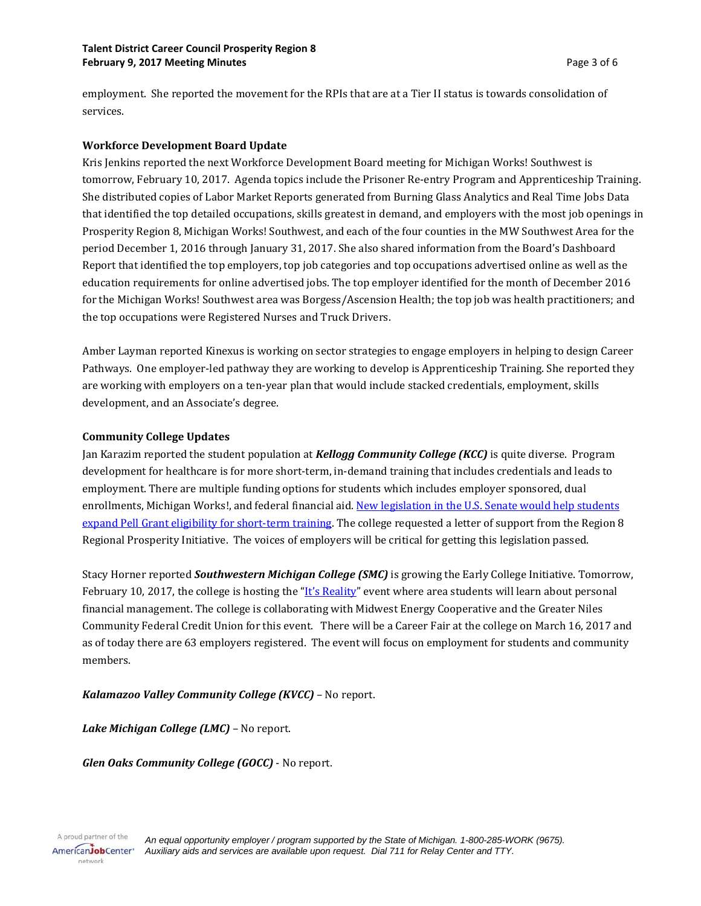employment. She reported the movement for the RPIs that are at a Tier II status is towards consolidation of services.

#### **Workforce Development Board Update**

Kris Jenkins reported the next Workforce Development Board meeting for Michigan Works! Southwest is tomorrow, February 10, 2017. Agenda topics include the Prisoner Re-entry Program and Apprenticeship Training. She distributed copies of Labor Market Reports generated from Burning Glass Analytics and Real Time Jobs Data that identified the top detailed occupations, skills greatest in demand, and employers with the most job openings in Prosperity Region 8, Michigan Works! Southwest, and each of the four counties in the MW Southwest Area for the period December 1, 2016 through January 31, 2017. She also shared information from the Board's Dashboard Report that identified the top employers, top job categories and top occupations advertised online as well as the education requirements for online advertised jobs. The top employer identified for the month of December 2016 for the Michigan Works! Southwest area was Borgess/Ascension Health; the top job was health practitioners; and the top occupations were Registered Nurses and Truck Drivers.

Amber Layman reported Kinexus is working on sector strategies to engage employers in helping to design Career Pathways. One employer-led pathway they are working to develop is Apprenticeship Training. She reported they are working with employers on a ten-year plan that would include stacked credentials, employment, skills development, and an Associate's degree.

#### **Community College Updates**

Jan Karazim reported the student population at *Kellogg Community College (KCC)* is quite diverse. Program development for healthcare is for more short-term, in-demand training that includes credentials and leads to employment. There are multiple funding options for students which includes employer sponsored, dual enrollments, Michigan Works!, and federal financial aid[. New legislation in the U.S. Senate would help students](http://www.nationalskillscoalition.org/news/latest/legislation-to-expand-pell-grant-eligibility)  [expand Pell Grant eligibility](http://www.nationalskillscoalition.org/news/latest/legislation-to-expand-pell-grant-eligibility) for short-term training. The college requested a letter of support from the Region 8 Regional Prosperity Initiative. The voices of employers will be critical for getting this legislation passed.

Stacy Horner reported *Southwestern Michigan College (SMC)* is growing the Early College Initiative. Tomorrow, February 10, 2017, the college is hosting the " $\frac{1}{s}$ " Reality" event where area students will learn about personal financial management. The college is collaborating with Midwest Energy Cooperative and the Greater Niles Community Federal Credit Union for this event. There will be a Career Fair at the college on March 16, 2017 and as of today there are 63 employers registered. The event will focus on employment for students and community members.

*Kalamazoo Valley Community College (KVCC)* – No report.

*Lake Michigan College (LMC)* – No report.

*Glen Oaks Community College (GOCC)* - No report.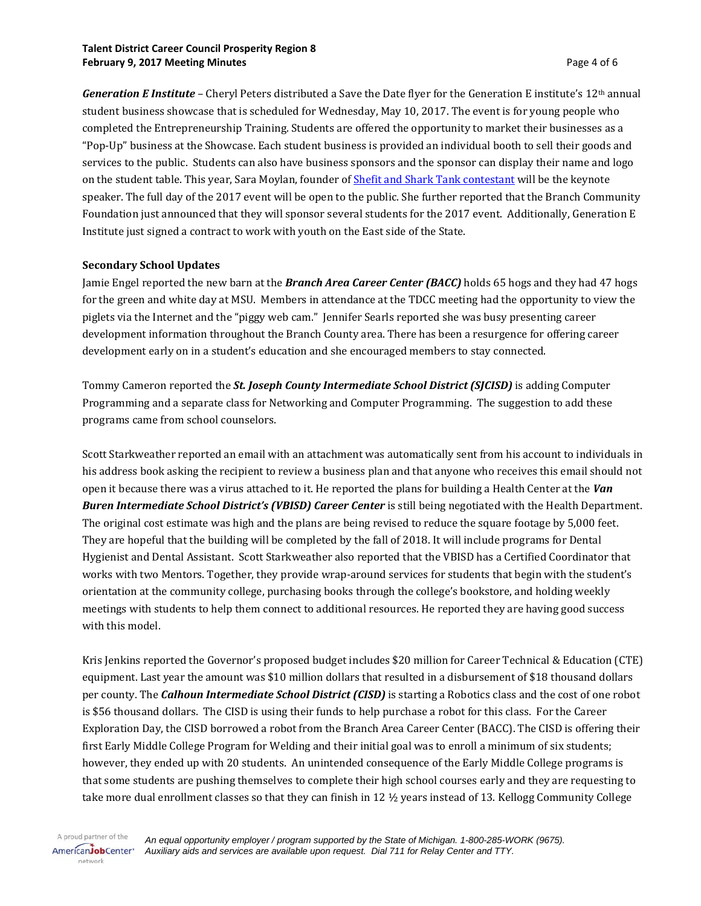#### **Talent District Career Council Prosperity Region 8 February 9, 2017 Meeting Minutes Accord 2018 12:30 Page 4 of 6 Accord 2018 12:40 Page 4 of 6 Accord 2018**

*Generation E Institute* – Cheryl Peters distributed a Save the Date flyer for the Generation E institute's 12th annual student business showcase that is scheduled for Wednesday, May 10, 2017. The event is for young people who completed the Entrepreneurship Training. Students are offered the opportunity to market their businesses as a "Pop-Up" business at the Showcase. Each student business is provided an individual booth to sell their goods and services to the public. Students can also have business sponsors and the sponsor can display their name and logo on the student table. This year, Sara Moylan, founder of [Shefit and Shark Tank contestant](http://woodtv.com/2016/01/27/shefit-founder-to-appear-on-shark-tank/) will be the keynote speaker. The full day of the 2017 event will be open to the public. She further reported that the Branch Community Foundation just announced that they will sponsor several students for the 2017 event. Additionally, Generation E Institute just signed a contract to work with youth on the East side of the State.

#### **Secondary School Updates**

Jamie Engel reported the new barn at the *Branch Area Career Center (BACC)* holds 65 hogs and they had 47 hogs for the green and white day at MSU. Members in attendance at the TDCC meeting had the opportunity to view the piglets via the Internet and the "piggy web cam." Jennifer Searls reported she was busy presenting career development information throughout the Branch County area. There has been a resurgence for offering career development early on in a student's education and she encouraged members to stay connected.

Tommy Cameron reported the *St. Joseph County Intermediate School District (SJCISD)* is adding Computer Programming and a separate class for Networking and Computer Programming. The suggestion to add these programs came from school counselors.

Scott Starkweather reported an email with an attachment was automatically sent from his account to individuals in his address book asking the recipient to review a business plan and that anyone who receives this email should not open it because there was a virus attached to it. He reported the plans for building a Health Center at the *Van Buren Intermediate School District's (VBISD) Career Center* is still being negotiated with the Health Department. The original cost estimate was high and the plans are being revised to reduce the square footage by 5,000 feet. They are hopeful that the building will be completed by the fall of 2018. It will include programs for Dental Hygienist and Dental Assistant. Scott Starkweather also reported that the VBISD has a Certified Coordinator that works with two Mentors. Together, they provide wrap-around services for students that begin with the student's orientation at the community college, purchasing books through the college's bookstore, and holding weekly meetings with students to help them connect to additional resources. He reported they are having good success with this model.

Kris Jenkins reported the Governor's proposed budget includes \$20 million for Career Technical & Education (CTE) equipment. Last year the amount was \$10 million dollars that resulted in a disbursement of \$18 thousand dollars per county. The *Calhoun Intermediate School District (CISD)* is starting a Robotics class and the cost of one robot is \$56 thousand dollars. The CISD is using their funds to help purchase a robot for this class. For the Career Exploration Day, the CISD borrowed a robot from the Branch Area Career Center (BACC). The CISD is offering their first Early Middle College Program for Welding and their initial goal was to enroll a minimum of six students; however, they ended up with 20 students. An unintended consequence of the Early Middle College programs is that some students are pushing themselves to complete their high school courses early and they are requesting to take more dual enrollment classes so that they can finish in 12 ½ years instead of 13. Kellogg Community College

A proud partner of the AmericanJobCenter\* network

*An equal opportunity employer / program supported by the State of Michigan. 1-800-285-WORK (9675). Auxiliary aids and services are available upon request. Dial 711 for Relay Center and TTY.*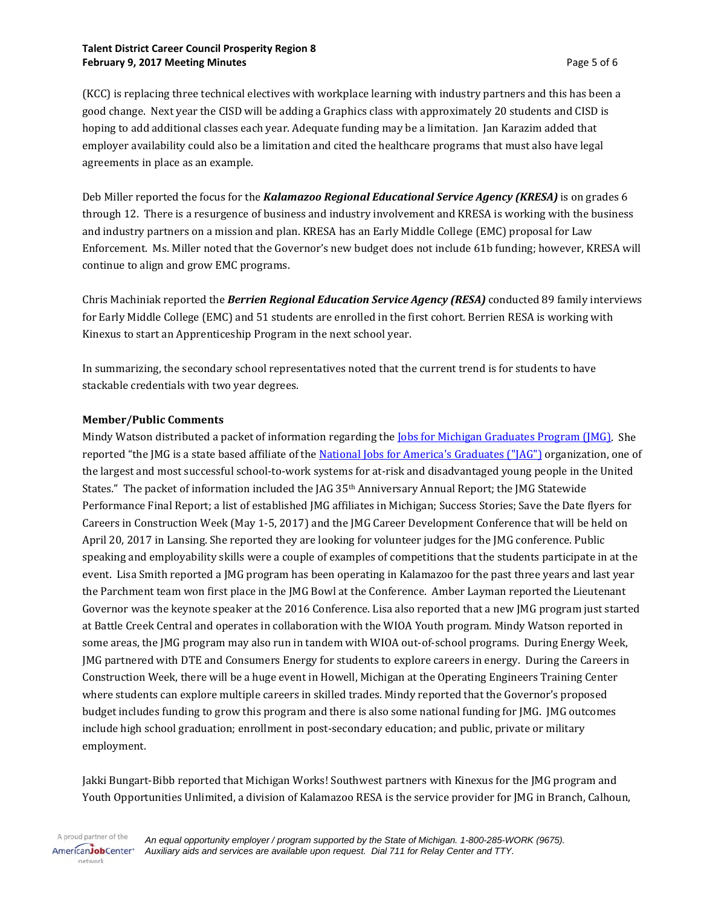#### **Talent District Career Council Prosperity Region 8 February 9, 2017 Meeting Minutes Page 5 of 6**

(KCC) is replacing three technical electives with workplace learning with industry partners and this has been a good change. Next year the CISD will be adding a Graphics class with approximately 20 students and CISD is hoping to add additional classes each year. Adequate funding may be a limitation. Jan Karazim added that employer availability could also be a limitation and cited the healthcare programs that must also have legal agreements in place as an example.

Deb Miller reported the focus for the *Kalamazoo Regional Educational Service Agency (KRESA)* is on grades 6 through 12. There is a resurgence of business and industry involvement and KRESA is working with the business and industry partners on a mission and plan. KRESA has an Early Middle College (EMC) proposal for Law Enforcement. Ms. Miller noted that the Governor's new budget does not include 61b funding; however, KRESA will continue to align and grow EMC programs.

Chris Machiniak reported the *Berrien Regional Education Service Agency (RESA)* conducted 89 family interviews for Early Middle College (EMC) and 51 students are enrolled in the first cohort. Berrien RESA is working with Kinexus to start an Apprenticeship Program in the next school year.

In summarizing, the secondary school representatives noted that the current trend is for students to have stackable credentials with two year degrees.

## **Member/Public Comments**

Mindy Watson distributed a packet of information regarding the <u>Jobs for Michigan Graduates Program (JMG</u>). She reported "the JMG is a state based affiliate of the [National Jobs for America](https://media.wix.com/ugd/37c25d_805686c396d540d19f64c66180dd84c6.pdf)'s Graduates ("JAG") organization, one of the largest and most successful school-to-work systems for at-risk and disadvantaged young people in the United States." The packet of information included the JAG 35th Anniversary Annual Report; the JMG Statewide Performance Final Report; a list of established JMG affiliates in Michigan; Success Stories; Save the Date flyers for Careers in Construction Week (May 1-5, 2017) and the JMG Career Development Conference that will be held on April 20, 2017 in Lansing. She reported they are looking for volunteer judges for the JMG conference. Public speaking and employability skills were a couple of examples of competitions that the students participate in at the event. Lisa Smith reported a JMG program has been operating in Kalamazoo for the past three years and last year the Parchment team won first place in the JMG Bowl at the Conference. Amber Layman reported the Lieutenant Governor was the keynote speaker at the 2016 Conference. Lisa also reported that a new JMG program just started at Battle Creek Central and operates in collaboration with the WIOA Youth program. Mindy Watson reported in some areas, the JMG program may also run in tandem with WIOA out-of-school programs. During Energy Week, JMG partnered with DTE and Consumers Energy for students to explore careers in energy. During the Careers in Construction Week, there will be a huge event in Howell, Michigan at the Operating Engineers Training Center where students can explore multiple careers in skilled trades. Mindy reported that the Governor's proposed budget includes funding to grow this program and there is also some national funding for JMG. JMG outcomes include high school graduation; enrollment in post-secondary education; and public, private or military employment.

Jakki Bungart-Bibb reported that Michigan Works! Southwest partners with Kinexus for the JMG program and Youth Opportunities Unlimited, a division of Kalamazoo RESA is the service provider for JMG in Branch, Calhoun,

A proud partner of the AmericanJobCenter\* network

*An equal opportunity employer / program supported by the State of Michigan. 1-800-285-WORK (9675). Auxiliary aids and services are available upon request. Dial 711 for Relay Center and TTY.*